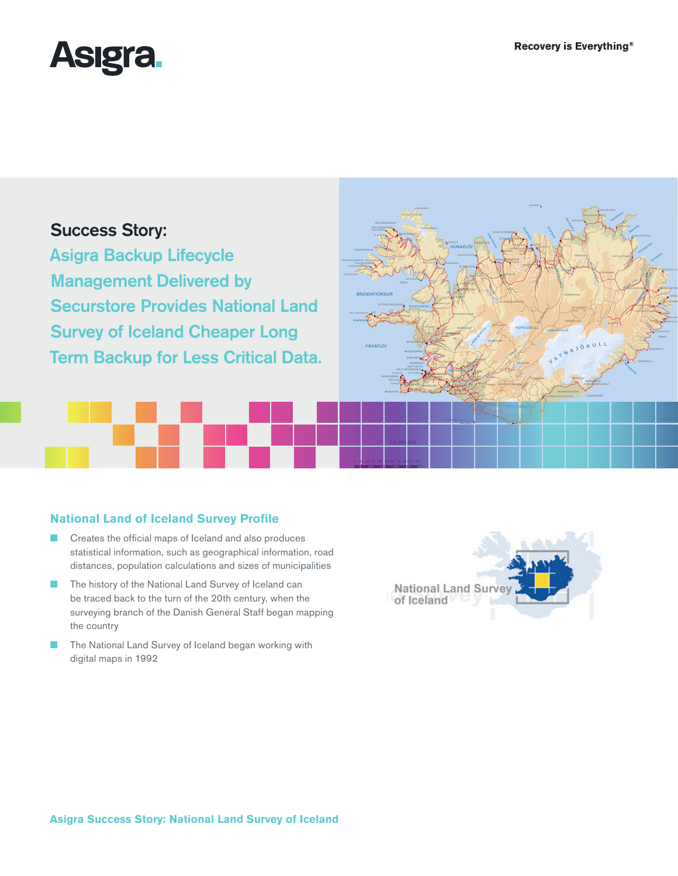HÚSAVÍK

Ódáðahraun

!

*MELRAKK ASLÉ TTA*

!

*Jökulsá á Fjöllum*

*Grímsstaðir*

V

*Lakagígar*

*Tungnafellsjökull Trölladyngja*

SVALBARÐSEYRI *MÝVATN* R<u>EYKJ</u>AHLI

*Goðafoss*

*Sprengisandur*

*Skjálfandi Öxarfjörður*

*Skjálfandafljót*

ATNAJÖKULL

*Hvannadalshnjúkur Öræfajökull*

*Dyngjufjöll*

HÖFN

*Hornafjörður*

*Snæfell*

EGILSSTAÐIR

REYÐARFJÖRÐUR FÁSKRÚÐSFJÖRÐUR

*Lögurinn Jökulsá <sup>á</sup> Brú Lagarfljót*

*Vopnafjörður Héraðsflói*

ÞÓRSHÖFN

!

*Þistilfjörður Bakkaflói*

SEYÐISFJÖR

ESKIFJÖRÐ S**J**ÖÐVARF BREIÐDALSV

*Papey*

!



# Success Story:

Asigra Backup Lifecycle Management Delivered by Securstore Provides National Land Survey of Iceland Cheaper Long Term Backup for Less Critical Data.

# **National Land of Iceland Survey Profile**

- Creates the official maps of Iceland and also produces statistical information, such as geographical information, road distances, population calculations and sizes of municipalities
- The history of the National Land Survey of Iceland can be traced back to the turn of the 20th century, when the surveying branch of the Danish General Staff began mapping the country
- The National Land Survey of Iceland began working with digital maps in 1992



BOLUNGARVÍK

!

ÓLAFSVÍK

!

*FAXAFLÓI*

*BREIÐAFJÖRÐUR* HELLISSANDUR \_ RIF

!

TÁLKNAFJÖRÐUR PATREKSFJÖRÐUR BÍLDUDALUR ÞINGEYRI

*Snæfellsjökull*

!

SANDGERÐI

*Reykjanes*

0 10 20 30 40 50 60 70 80 90 100

**KEFLAVA** 

! !

GRUNDARFJÖRÐUR

**KAFJÖRÐUR SIGLUFJÖRÐUR** SIGLUFJÖRÐUR SIGLUFJÖRÐUR SIGLUFJÖRÐUR SIGLUFJÖRÐUR SIGLUFJÖRÐUR SIGLUFJÖRÐUR SIGLUFJÖRÐU

*HÚNAFLÓI*

SALO <del>vo</del>gun HAFNAR PIRAEUR

*Esja*

HVANNEYRI REYKHOLT

**BÚÐARDALUR** 

**KOLMAVÍK DRANGSNES** 

 $\sim$ 

SELFOSS

HVERAGERÐI

*Þingvallavatn* LAUGARVATN LAUGARÁS

*Kaldidalur Húsafell*

**NORDAYRI** 

!

*ÞINGVELLIR*

*Ölfusá*

GRINDAVÍK

VOGAR GARÐABÆR PORLÁNSKI

*Hvalfjörður Borgarfjörður*

!

GARÐUR ÁLFTANES SELTJARNARNES NJARÐVÍK *Kleifarvatn*

**BORGANNES** 

*Hvammsfjörður*

REYKHÓLAR

*Flatey*

SÚÐAVÍK

**BLÖNDUOS** 

*Hóp*

**HVAMMESTANGI** LAUGARBAKKI

*Eiríksjökull Arnarvatnsheiði*

*LANG JÖKU LL*

FLÚÐ IR *Geysir Gullfoss*

*Hvítá Þjórsá*

HVOLSVÖLLUR  $H(X,Y)$ EYRARBAKKI

*Búrfell*

OLA<u>FS</u>FJ**DR**ÐOR DALVÍK

SAUÐ**ÁR**KRÓKUR

VARMAHLÍÐ

*Eyvindastaðaheiði*

*Kjölur Hveravellir*

*Hvítárvatn*

HOFSÓS ÁRSKÓGSSANDUR HAUGANES GRENIVÍK

Skagafjörður

*Blanda*

*Skagaheiði*

AKUR*e*yeri

!

*Eyjafjörður*

*HOFSJÖKULL*

*Þórisvatn*

*Landmannalaugar Eldg Hekla já*

*Þjórsá*

GRÍMSEY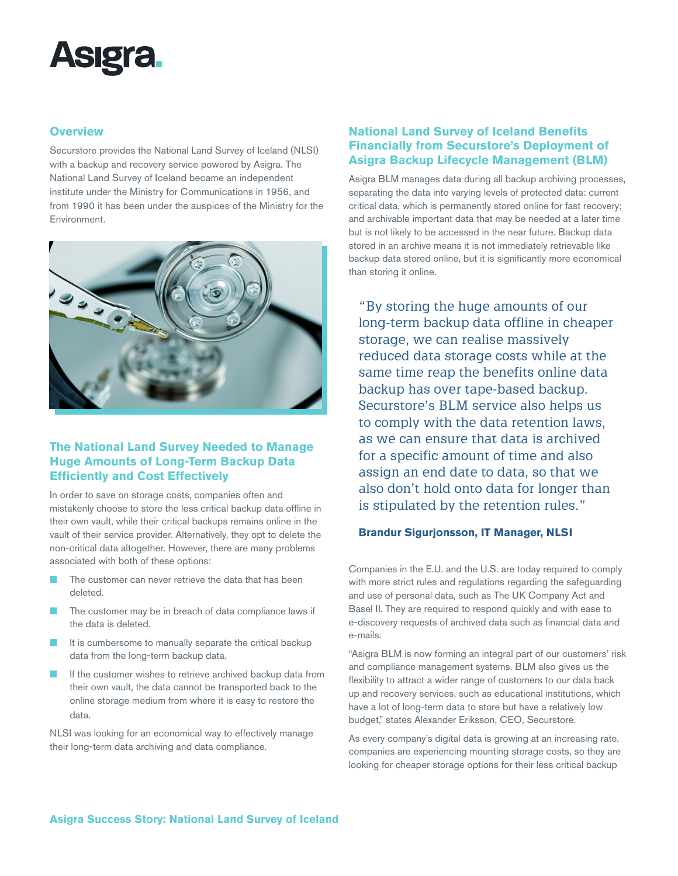

### **Overview**

Securstore provides the National Land Survey of Iceland (NLSI) with a backup and recovery service powered by Asigra. The National Land Survey of Iceland became an independent institute under the Ministry for Communications in 1956, and from 1990 it has been under the auspices of the Ministry for the Environment.



## **The National Land Survey Needed to Manage Huge Amounts of Long-Term Backup Data Efficiently and Cost Effectively**

In order to save on storage costs, companies often and mistakenly choose to store the less critical backup data offline in their own vault, while their critical backups remains online in the vault of their service provider. Alternatively, they opt to delete the non-critical data altogether. However, there are many problems associated with both of these options:

- The customer can never retrieve the data that has been deleted.
- The customer may be in breach of data compliance laws if the data is deleted.
- It is cumbersome to manually separate the critical backup data from the long-term backup data.
- If the customer wishes to retrieve archived backup data from their own vault, the data cannot be transported back to the online storage medium from where it is easy to restore the data.

NLSI was looking for an economical way to effectively manage their long-term data archiving and data compliance.

# **National Land Survey of Iceland Benefits Financially from Securstore's Deployment of Asigra Backup Lifecycle Management (BLM)**

Asigra BLM manages data during all backup archiving processes, separating the data into varying levels of protected data: current critical data, which is permanently stored online for fast recovery; and archivable important data that may be needed at a later time but is not likely to be accessed in the near future. Backup data stored in an archive means it is not immediately retrievable like backup data stored online, but it is significantly more economical than storing it online.

"By storing the huge amounts of our long-term backup data offline in cheaper storage, we can realise massively reduced data storage costs while at the same time reap the benefits online data backup has over tape-based backup. Securstore's BLM service also helps us to comply with the data retention laws, as we can ensure that data is archived for a specific amount of time and also assign an end date to data, so that we also don't hold onto data for longer than is stipulated by the retention rules."

## **Brandur Sigurjonsson, IT Manager, NLSI**

Companies in the E.U. and the U.S. are today required to comply with more strict rules and regulations regarding the safeguarding and use of personal data, such as The UK Company Act and Basel II. They are required to respond quickly and with ease to e-discovery requests of archived data such as financial data and e-mails.

"Asigra BLM is now forming an integral part of our customers' risk and compliance management systems. BLM also gives us the flexibility to attract a wider range of customers to our data back up and recovery services, such as educational institutions, which have a lot of long-term data to store but have a relatively low budget," states Alexander Eriksson, CEO, Securstore.

As every company's digital data is growing at an increasing rate, companies are experiencing mounting storage costs, so they are looking for cheaper storage options for their less critical backup